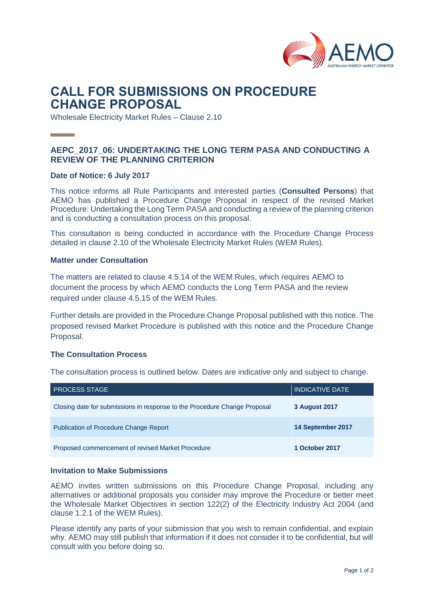

# **CALL FOR SUBMISSIONS ON PROCEDURE CHANGE PROPOSAL**

Wholesale Electricity Market Rules – Clause 2.10

## **AEPC\_2017\_06: UNDERTAKING THE LONG TERM PASA AND CONDUCTING A REVIEW OF THE PLANNING CRITERION**

#### **Date of Notice: 6 July 2017**

This notice informs all Rule Participants and interested parties (**Consulted Persons**) that AEMO has published a Procedure Change Proposal in respect of the revised Market Procedure: Undertaking the Long Term PASA and conducting a review of the planning criterion and is conducting a consultation process on this proposal.

This consultation is being conducted in accordance with the Procedure Change Process detailed in clause 2.10 of the Wholesale Electricity Market Rules (WEM Rules).

#### **Matter under Consultation**

The matters are related to clause 4.5.14 of the WEM Rules, which requires AEMO to document the process by which AEMO conducts the Long Term PASA and the review required under clause 4.5.15 of the WEM Rules.

Further details are provided in the Procedure Change Proposal published with this notice. The proposed revised Market Procedure is published with this notice and the Procedure Change Proposal.

#### **The Consultation Process**

The consultation process is outlined below. Dates are indicative only and subject to change.

| <b>PROCESS STAGE</b>                                                      | <b>INDICATIVE DATE</b> |
|---------------------------------------------------------------------------|------------------------|
| Closing date for submissions in response to the Procedure Change Proposal | 3 August 2017          |
| <b>Publication of Procedure Change Report</b>                             | 14 September 2017      |
| Proposed commencement of revised Market Procedure                         | 1 October 2017         |

#### **Invitation to Make Submissions**

AEMO invites written submissions on this Procedure Change Proposal, including any alternatives or additional proposals you consider may improve the Procedure or better meet the Wholesale Market Objectives in section 122(2) of the Electricity Industry Act 2004 (and clause 1.2.1 of the WEM Rules).

Please identify any parts of your submission that you wish to remain confidential, and explain why. AEMO may still publish that information if it does not consider it to be confidential, but will consult with you before doing so.